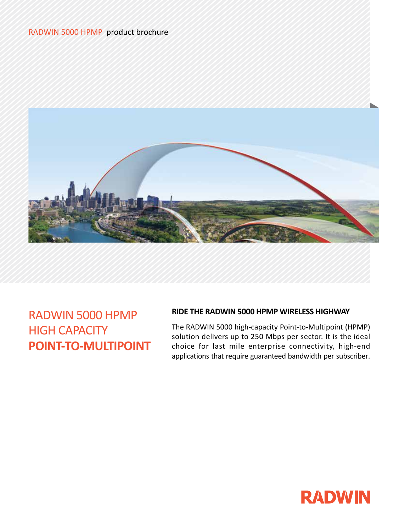# RADWIN 5000 HPMP product brochure



RADWIN 5000 HPMP HIGH CAPACITY **POINT-TO-MULTIPOINT**

# **RIDE THE RADWIN 5000 HPMP WIRELESS HIGHWAY**

The RADWIN 5000 high-capacity Point-to-Multipoint (HPMP) solution delivers up to 250 Mbps per sector. It is the ideal choice for last mile enterprise connectivity, high-end applications that require guaranteed bandwidth per subscriber.

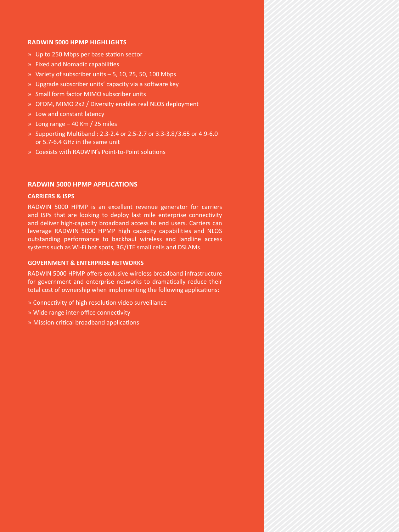### **RADWIN 5000 HPMP Highlights**

- » Up to 250 Mbps per base station sector
- » Fixed and Nomadic capabilities
- » Variety of subscriber units 5, 10, 25, 50, 100 Mbps
- » Upgrade subscriber units' capacity via a software key
- » Small form factor MIMO subscriber units
- » OFDM, MIMO 2x2 / Diversity enables real NLOS deployment
- » Low and constant latency
- » Long range 40 Km / 25 miles
- » Supporting Multiband : 2.3-2.4 or 2.5-2.7 or 3.3-3.8/3.65 or 4.9-6.0 or 5.7-6.4 GHz in the same unit
- » Coexists with RADWIN's Point-to-Point solutions

### **RADWIN 5000 HPMP APPLICATIONS**

#### **CARRIERS & ISPS**

RADWIN 5000 HPMP is an excellent revenue generator for carriers and ISPs that are looking to deploy last mile enterprise connectivity and deliver high-capacity broadband access to end users. Carriers can leverage RADWIN 5000 HPMP high capacity capabilities and NLOS outstanding performance to backhaul wireless and landline access systems such as Wi-Fi hot spots, 3G/LTE small cells and DSLAMs.

### **GOVERNMENT & ENTERPRISE NETWORKS**

RADWIN 5000 HPMP offers exclusive wireless broadband infrastructure for government and enterprise networks to dramatically reduce their total cost of ownership when implementing the following applications:

- » Connectivity of high resolution video surveillance
- » Wide range inter-office connectivity
- » Mission critical broadband applications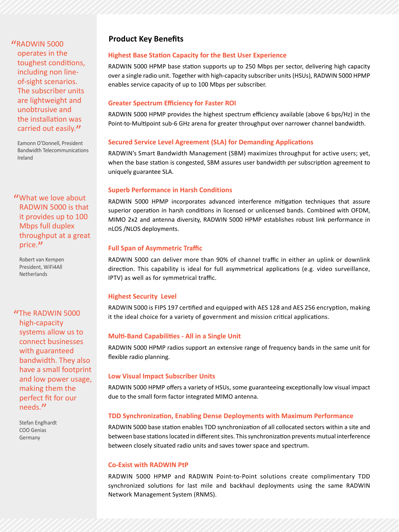# "RADWIN 5000

operates in the toughest conditions, including non lineof-sight scenarios. The subscriber units are lightweight and unobtrusive and the installation was carried out easily."

Eamonn O'Donnell, President Bandwidth Telecommunications Ireland

"What we love about RADWIN 5000 is that it provides up to 100 Mbps full duplex throughput at a great price."

Robert van Kempen President, WiFi4All **Netherlands** 

"The RADWIN 5000 high-capacity systems allow us to connect businesses with guaranteed bandwidth. They also have a small footprint and low power usage, making them the perfect fit for our needs."

Stefan Englhardt COO Genias Germany

# **Product Key Benefits**

## **Highest Base Station Capacity for the Best User Experience**

RADWIN 5000 HPMP base station supports up to 250 Mbps per sector, delivering high capacity over a single radio unit. Together with high-capacity subscriber units (HSUs), RADWIN 5000 HPMP enables service capacity of up to 100 Mbps per subscriber.

### **Greater Spectrum Efficiency for Faster ROI**

RADWIN 5000 HPMP provides the highest spectrum efficiency available (above 6 bps/Hz) in the Point-to-Multipoint sub-6 GHz arena for greater throughput over narrower channel bandwidth.

# **Secured Service Level Agreement (SLA) for Demanding Applications**

RADWIN's Smart Bandwidth Management (SBM) maximizes throughput for active users; yet, when the base station is congested, SBM assures user bandwidth per subscription agreement to uniquely guarantee SLA.

## **Superb Performance in Harsh Conditions**

RADWIN 5000 HPMP incorporates advanced interference mitigation techniques that assure superior operation in harsh conditions in licensed or unlicensed bands. Combined with OFDM, MIMO 2x2 and antenna diversity, RADWIN 5000 HPMP establishes robust link performance in nLOS /NLOS deployments.

## **Full Span of Asymmetric Traffic**

RADWIN 5000 can deliver more than 90% of channel traffic in either an uplink or downlink direction. This capability is ideal for full asymmetrical applications (e.g. video surveillance, IPTV) as well as for symmetrical traffic.

# **Highest Security Level**

RADWIN 5000 is FIPS 197 certified and equipped with AES 128 and AES 256 encryption, making it the ideal choice for a variety of government and mission critical applications.

# **Multi-Band Capabilities - All in a Single Unit**

RADWIN 5000 HPMP radios support an extensive range of frequency bands in the same unit for flexible radio planning.

# **Low Visual Impact Subscriber Units**

RADWIN 5000 HPMP offers a variety of HSUs, some guaranteeing exceptionally low visual impact due to the small form factor integrated MIMO antenna.

# **TDD Synchronization, Enabling Dense Deployments with Maximum Performance**

RADWIN 5000 base station enables TDD synchronization of all collocated sectors within a site and between base stations located in different sites. This synchronization prevents mutual interference between closely situated radio units and saves tower space and spectrum.

### **Co-Exist with RADWIN PtP**

RADWIN 5000 HPMP and RADWIN Point-to-Point solutions create complimentary TDD synchronized solutions for last mile and backhaul deployments using the same RADWIN Network Management System (RNMS).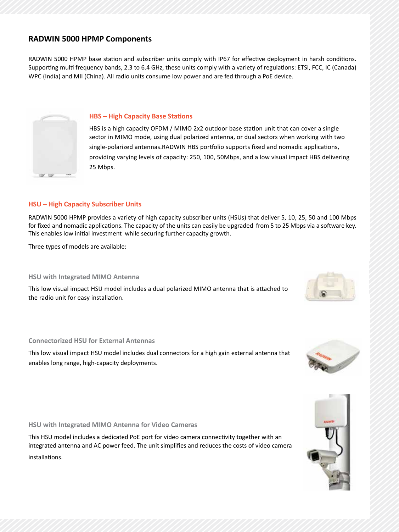# **RADWIN 5000 HPMP Components**

RADWIN 5000 HPMP base station and subscriber units comply with IP67 for effective deployment in harsh conditions. Supporting multi frequency bands, 2.3 to 6.4 GHz, these units comply with a variety of regulations: ETSI, FCC, IC (Canada) WPC (India) and MII (China). All radio units consume low power and are fed through a PoE device.



### **HBS – High Capacity Base Stations**

HBS is a high capacity OFDM / MIMO 2x2 outdoor base station unit that can cover a single sector in MIMO mode, using dual polarized antenna, or dual sectors when working with two single-polarized antennas.RADWIN HBS portfolio supports fixed and nomadic applications, providing varying levels of capacity: 250, 100, 50Mbps, and a low visual impact HBS delivering 25 Mbps.

## **HSU – High Capacity Subscriber Units**

RADWIN 5000 HPMP provides a variety of high capacity subscriber units (HSUs) that deliver 5, 10, 25, 50 and 100 Mbps for fixed and nomadic applications. The capacity of the units can easily be upgraded from 5 to 25 Mbps via a software key. This enables low initial investment while securing further capacity growth.

Three types of models are available:

**HSU with Integrated MIMO Antenna** 

This low visual impact HSU model includes a dual polarized MIMO antenna that is attached to the radio unit for easy installation.

### **Connectorized HSU for External Antennas**

This low visual impact HSU model includes dual connectors for a high gain external antenna that enables long range, high-capacity deployments.

**HSU with Integrated MIMO Antenna for Video Cameras** 

This HSU model includes a dedicated PoE port for video camera connectivity together with an integrated antenna and AC power feed. The unit simplifies and reduces the costs of video camera installations.





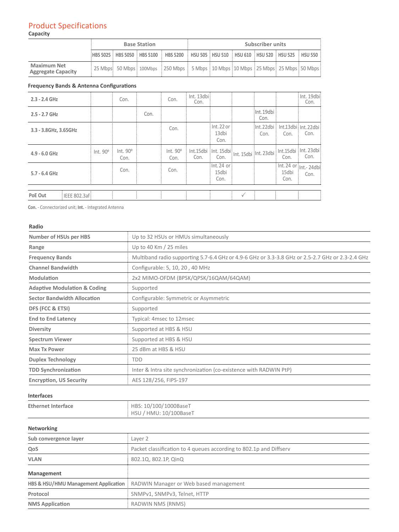## Product Specifications **Capacity**

|                                                 | <b>Base Station</b> |  |  | Subscriber units                                                                                        |  |  |  |  |  |  |
|-------------------------------------------------|---------------------|--|--|---------------------------------------------------------------------------------------------------------|--|--|--|--|--|--|
|                                                 |                     |  |  | $HBS 5025$ $HBS 5050$ $HBS 5100$ $HBS 5200$ $HSU 505$ $HSU 510$ $HSU 610$ $HSU 520$ $HSU 525$ $HSU 550$ |  |  |  |  |  |  |
| <b>Maximum Net</b><br><b>Aggregate Capacity</b> |                     |  |  | : 25 Mbps: 50 Mbps: 100Mbps: 250 Mbps: 5 Mbps: 10 Mbps: 10 Mbps: 25 Mbps: 25 Mbps: 50 Mbps              |  |  |  |  |  |  |

# **Frequency Bands & Antenna Configurations**

| $2.3 - 2.4$ GHz       |                      |          | Con.             |      | Con.             | $:$ Int. 13dbi $:$<br>Con.                                                                                |                                     |                      |               | : Int. 19dbi:<br>Con.                                                        |
|-----------------------|----------------------|----------|------------------|------|------------------|-----------------------------------------------------------------------------------------------------------|-------------------------------------|----------------------|---------------|------------------------------------------------------------------------------|
| $2.5 - 2.7$ GHz       |                      |          |                  | Con. |                  |                                                                                                           |                                     | :Int.19dbi :<br>Con. |               |                                                                              |
| 3.3 - 3.8GHz, 3.65GHz |                      |          |                  |      | Con.             |                                                                                                           | $:$ Int. 22 or $:$<br>13dbi<br>Con. | Con.                 | Con.          | :Int.22dbi : Int.13dbi : Int.22dbi :<br>Con.                                 |
| $4.9 - 6.0$ GHz       |                      | Int. 90° | Int. 90°<br>Con. |      | Int. 90°<br>Con. | $\frac{\mathsf{Int.15dbi}}{\mathsf{Int.15dbi}}$ Int. 15dbi $\frac{1}{2}$ Int. 15dbi $\frac{1}{2}$<br>Con. | Con.                                |                      | Con.          | Int.15dbi : Int. 23dbi:<br>Con.                                              |
| $5.7 - 6.4$ GHz       |                      |          | Con.             |      | Con.             |                                                                                                           | $:$ Int. 24 or $:$<br>15dbi<br>Con. |                      | 15dbi<br>Con. | $\sqrt{\frac{1}{1}}$ Int. 24 or $\frac{1}{1}$ <sub>Int.</sub> 24 dbi<br>Con. |
|                       |                      |          |                  |      |                  |                                                                                                           |                                     |                      |               |                                                                              |
| PoE Out               | $:$ IEEE 802.3af $:$ |          |                  |      |                  |                                                                                                           |                                     |                      |               |                                                                              |

**Con.** - Connectorized unit; **Int.** - Integrated Antenna

Protocol **Protocol Example 2018** SNMPv1, SNMPv3, Telnet, HTTP

**NMS Application RADWIN NMS (RNMS)** 

### **Radio**

| <b>Number of HSUs per HBS</b>           | Up to 32 HSUs or HMUs simultaneously                                                             |  |  |  |
|-----------------------------------------|--------------------------------------------------------------------------------------------------|--|--|--|
| Range                                   | Up to 40 Km / 25 miles                                                                           |  |  |  |
| <b>Frequency Bands</b>                  | Multiband radio supporting 5.7-6.4 GHz or 4.9-6 GHz or 3.3-3.8 GHz or 2.5-2.7 GHz or 2.3-2.4 GHz |  |  |  |
| <b>Channel Bandwidth</b>                | Configurable: 5, 10, 20, 40 MHz                                                                  |  |  |  |
| Modulation                              | 2x2 MIMO-OFDM (BPSK/QPSK/16QAM/64QAM)                                                            |  |  |  |
| <b>Adaptive Modulation &amp; Coding</b> | Supported                                                                                        |  |  |  |
| <b>Sector Bandwidth Allocation</b>      | Configurable: Symmetric or Asymmetric                                                            |  |  |  |
| DFS (FCC & ETSI)                        | Supported                                                                                        |  |  |  |
| <b>End to End Latency</b>               | Typical: 4msec to 12msec                                                                         |  |  |  |
| <b>Diversity</b>                        | Supported at HBS & HSU                                                                           |  |  |  |
| <b>Spectrum Viewer</b>                  | Supported at HBS & HSU                                                                           |  |  |  |
| <b>Max Tx Power</b>                     | 25 dBm at HBS & HSU                                                                              |  |  |  |
| <b>Duplex Technology</b>                | <b>TDD</b>                                                                                       |  |  |  |
| <b>TDD Synchronization</b>              | Inter & Intra site synchronization (co-existence with RADWIN PtP)                                |  |  |  |
| <b>Encryption, US Security</b>          | AES 128/256, FIPS-197                                                                            |  |  |  |
| <b>Interfaces</b>                       |                                                                                                  |  |  |  |
| <b>Ethernet Interface</b>               | HBS: 10/100/1000BaseT<br>HSU / HMU: 10/100BaseT                                                  |  |  |  |
| Networking                              |                                                                                                  |  |  |  |
| Sub convergence layer                   | Layer 2                                                                                          |  |  |  |
| QoS                                     | Packet classification to 4 queues according to 802.1p and Diffserv                               |  |  |  |
| <b>VLAN</b>                             | 802.1Q, 802.1P, QinQ                                                                             |  |  |  |
| Management                              |                                                                                                  |  |  |  |
|                                         | HBS & HSU/HMU Management Application : RADWIN Manager or Web based management                    |  |  |  |